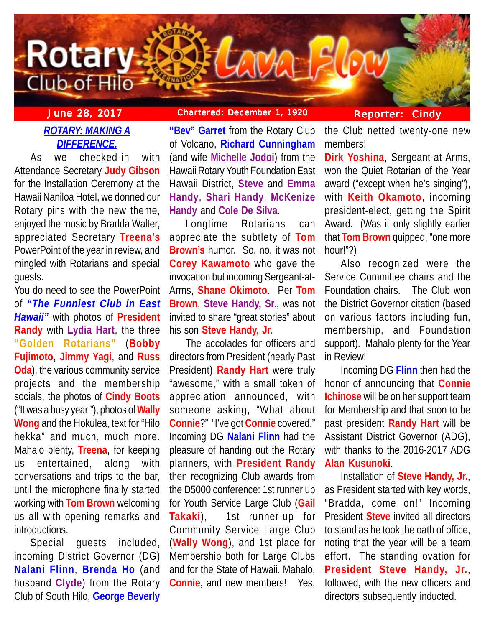

# *ROTARY: MAKING A DIFFERENCE.*

As we checked-in with Attendance Secretary **Judy Gibson** for the Installation Ceremony at the Hawaii Naniloa Hotel, we donned our Rotary pins with the new theme, enjoyed the music by Bradda Walter, appreciated Secretary **Treena's** PowerPoint of the year in review, and mingled with Rotarians and special guests.

You do need to see the PowerPoint of *"The Funniest Club in East Hawaii"* with photos of **President Randy** with **Lydia Hart**, the three **"Golden Rotarians"** (**Bobby Fujimoto**, **Jimmy Yagi**, and **Russ Oda**), the various community service projects and the membership socials, the photos of **Cindy Boots** ("It was a busy year!"), photos of **Wally Wong** and the Hokulea, text for "Hilo hekka" and much, much more. Mahalo plenty, **Treena**, for keeping us entertained, along with conversations and trips to the bar, until the microphone finally started working with **Tom Brown** welcoming us all with opening remarks and introductions.

Special guests included, incoming District Governor (DG) **Nalani Flinn**, **Brenda Ho** (and husband **Clyde**) from the Rotary Club of South Hilo, **George Beverly**

## **June 28, 2017 Chartered: December 1, 1920 Reporter: Cindy**

**"Bev" Garret** from the Rotary Club of Volcano, **Richard Cunningham** (and wife **Michelle Jodoi**) from the Hawaii Rotary Youth Foundation East Hawaii District, **Steve** and **Emma Handy**, **Shari Handy**, **McKenize Handy** and **Cole De Silva**.

Longtime Rotarians can appreciate the subtlety of **Tom Brown's** humor. So, no, it was not **Corey Kawamoto** who gave the invocation but incoming Sergeant-at-Arms, **Shane Okimoto**. Per **Tom Brown**, **Steve Handy, Sr.**, was not invited to share "great stories" about his son **Steve Handy, Jr.**

The accolades for officers and directors from President (nearly Past President) **Randy Hart** were truly "awesome," with a small token of appreciation announced, with someone asking, "What about **Connie**?" "I've got **Connie** covered." Incoming DG **Nalani Flinn** had the pleasure of handing out the Rotary planners, with **President Randy** then recognizing Club awards from the D5000 conference: 1st runner up for Youth Service Large Club (**Gail Takaki**), 1st runner-up for Community Service Large Club (**Wally Wong**), and 1st place for Membership both for Large Clubs and for the State of Hawaii. Mahalo, **Connie**, and new members! Yes,

the Club netted twenty-one new members!

**Dirk Yoshina**, Sergeant-at-Arms, won the Quiet Rotarian of the Year award ("except when he's singing"), with **Keith Okamoto**, incoming president-elect, getting the Spirit Award. (Was it only slightly earlier that **Tom Brown** quipped, "one more hour!"?)

Also recognized were the Service Committee chairs and the Foundation chairs. The Club won the District Governor citation (based on various factors including fun, membership, and Foundation support). Mahalo plenty for the Year in Review!

Incoming DG **Flinn** then had the honor of announcing that **Connie Ichinose** will be on her support team for Membership and that soon to be past president **Randy Hart** will be Assistant District Governor (ADG), with thanks to the 2016-2017 ADG **Alan Kusunoki**.

Installation of **Steve Handy, Jr.**, as President started with key words, "Bradda, come on!" Incoming President **Steve** invited all directors to stand as he took the oath of office, noting that the year will be a team effort. The standing ovation for **President Steve Handy, Jr.**, followed, with the new officers and directors subsequently inducted.